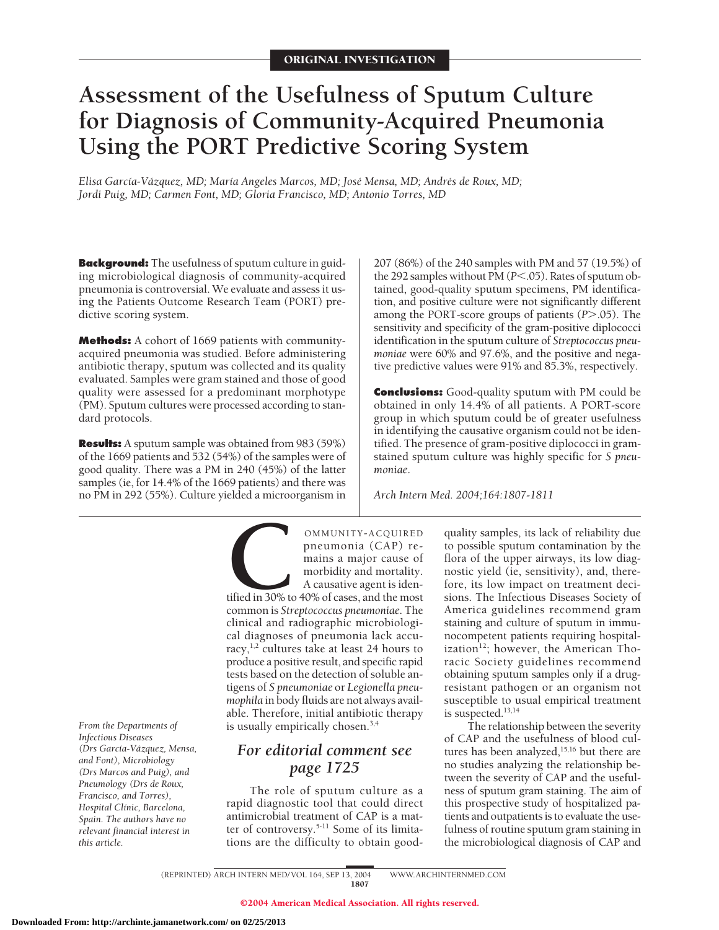# **Assessment of the Usefulness of Sputum Culture for Diagnosis of Community-Acquired Pneumonia Using the PORT Predictive Scoring System**

*Elisa Garcı´a-Va´zquez, MD; Marı´a Angeles Marcos, MD; Jose´ Mensa, MD; Andre´s de Roux, MD; Jordi Puig, MD; Carmen Font, MD; Gloria Francisco, MD; Antonio Torres, MD*

**Background:** The usefulness of sputum culture in guiding microbiological diagnosis of community-acquired pneumonia is controversial. We evaluate and assess it using the Patients Outcome Research Team (PORT) predictive scoring system.

**Methods:** A cohort of 1669 patients with communityacquired pneumonia was studied. Before administering antibiotic therapy, sputum was collected and its quality evaluated. Samples were gram stained and those of good quality were assessed for a predominant morphotype (PM). Sputum cultures were processed according to standard protocols.

**Results:** A sputum sample was obtained from 983 (59%) of the 1669 patients and 532 (54%) of the samples were of good quality. There was a PM in 240 (45%) of the latter samples (ie, for 14.4% of the 1669 patients) and there was no PM in 292 (55%). Culture yielded a microorganism in

*From the Departments of Infectious Diseases (Drs García-Va´zquez, Mensa, and Font), Microbiology (Drs Marcos and Puig), and Pneumology (Drs de Roux, Francisco, and Torres), Hospital Clı´nic, Barcelona, Spain. The authors have no relevant financial interest in this article.*

OMMUNITY-ACQUIRED<br>
pneumonia (CAP) re-<br>
mains a major cause of<br>
morbidity and mortality.<br>
A causative agent is iden-<br>
tified in 30% to 40% of cases, and the most<br>
common is *Streptococcus pneumoniae*. The pneumonia (CAP) remains a major cause of morbidity and mortality. A causative agent is iden-

tified in 30% to 40% of cases, and the most common is *Streptococcus pneumoniae*. The clinical and radiographic microbiological diagnoses of pneumonia lack accuracy, $^{1,2}$  cultures take at least 24 hours to produce a positive result, and specific rapid tests based on the detection of soluble antigens of *S pneumoniae* or *Legionella pneumophila* in body fluids are not always available. Therefore, initial antibiotic therapy is usually empirically chosen.3,4

# *For editorial comment see page 1725*

The role of sputum culture as a rapid diagnostic tool that could direct antimicrobial treatment of CAP is a matter of controversy.5-11 Some of its limitations are the difficulty to obtain good-

207 (86%) of the 240 samples with PM and 57 (19.5%) of the 292 samples without PM ( $P$ <.05). Rates of sputum obtained, good-quality sputum specimens, PM identification, and positive culture were not significantly different among the PORT-score groups of patients (P>.05). The sensitivity and specificity of the gram-positive diplococci identification in the sputum culture of *Streptococcus pneumoniae* were 60% and 97.6%, and the positive and negative predictive values were 91% and 85.3%, respectively.

**Conclusions:** Good-quality sputum with PM could be obtained in only 14.4% of all patients. A PORT-score group in which sputum could be of greater usefulness in identifying the causative organism could not be identified. The presence of gram-positive diplococci in gramstained sputum culture was highly specific for *S pneumoniae*.

*Arch Intern Med. 2004;164:1807-1811*

quality samples, its lack of reliability due to possible sputum contamination by the flora of the upper airways, its low diagnostic yield (ie, sensitivity), and, therefore, its low impact on treatment decisions. The Infectious Diseases Society of America guidelines recommend gram staining and culture of sputum in immunocompetent patients requiring hospitalization $12$ ; however, the American Thoracic Society guidelines recommend obtaining sputum samples only if a drugresistant pathogen or an organism not susceptible to usual empirical treatment is suspected.13,14

The relationship between the severity of CAP and the usefulness of blood cultures has been analyzed,<sup>15,16</sup> but there are no studies analyzing the relationship between the severity of CAP and the usefulness of sputum gram staining. The aim of this prospective study of hospitalized patients and outpatients is to evaluate the usefulness of routine sputum gram staining in the microbiological diagnosis of CAP and

(REPRINTED) ARCH INTERN MED/ VOL 164, SEP 13, 2004 WWW.ARCHINTERNMED.COM 1807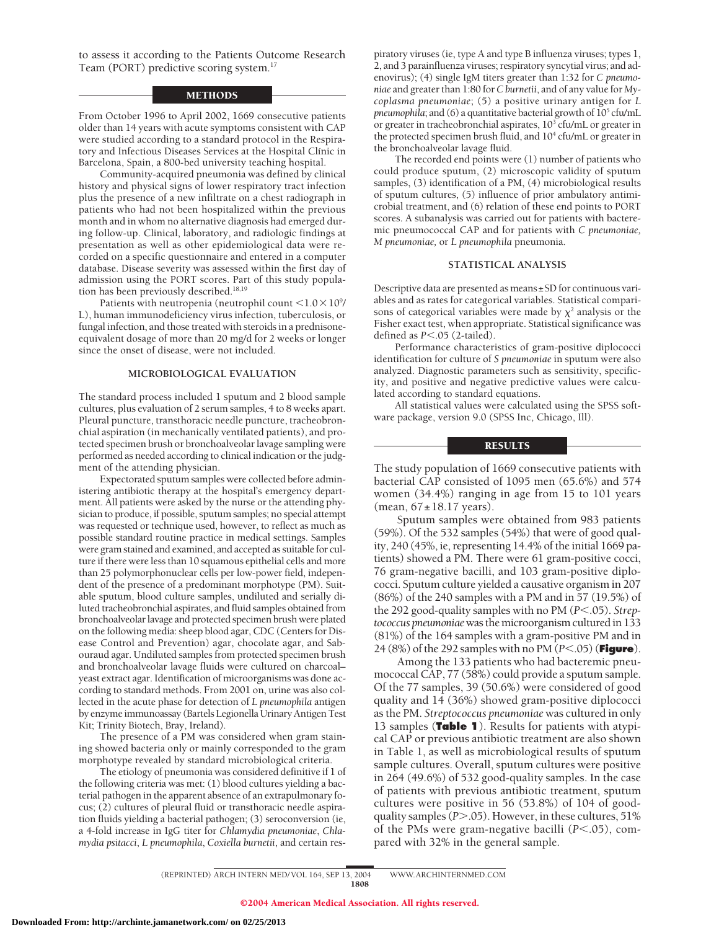to assess it according to the Patients Outcome Research Team (PORT) predictive scoring system.<sup>17</sup>

## METHODS

From October 1996 to April 2002, 1669 consecutive patients older than 14 years with acute symptoms consistent with CAP were studied according to a standard protocol in the Respiratory and Infectious Diseases Services at the Hospital Clínic in Barcelona, Spain, a 800-bed university teaching hospital.

Community-acquired pneumonia was defined by clinical history and physical signs of lower respiratory tract infection plus the presence of a new infiltrate on a chest radiograph in patients who had not been hospitalized within the previous month and in whom no alternative diagnosis had emerged during follow-up. Clinical, laboratory, and radiologic findings at presentation as well as other epidemiological data were recorded on a specific questionnaire and entered in a computer database. Disease severity was assessed within the first day of admission using the PORT scores. Part of this study population has been previously described.<sup>18,19</sup>

Patients with neutropenia (neutrophil count  $\leq\!1.0\!\times\!10^9\!$ L), human immunodeficiency virus infection, tuberculosis, or fungal infection, and those treated with steroids in a prednisoneequivalent dosage of more than 20 mg/d for 2 weeks or longer since the onset of disease, were not included.

#### **MICROBIOLOGICAL EVALUATION**

The standard process included 1 sputum and 2 blood sample cultures, plus evaluation of 2 serum samples, 4 to 8 weeks apart. Pleural puncture, transthoracic needle puncture, tracheobronchial aspiration (in mechanically ventilated patients), and protected specimen brush or bronchoalveolar lavage sampling were performed as needed according to clinical indication or the judgment of the attending physician.

Expectorated sputum samples were collected before administering antibiotic therapy at the hospital's emergency department. All patients were asked by the nurse or the attending physician to produce, if possible, sputum samples; no special attempt was requested or technique used, however, to reflect as much as possible standard routine practice in medical settings. Samples were gram stained and examined, and accepted as suitable for culture if there were less than 10 squamous epithelial cells and more than 25 polymorphonuclear cells per low-power field, independent of the presence of a predominant morphotype (PM). Suitable sputum, blood culture samples, undiluted and serially diluted tracheobronchial aspirates, and fluid samples obtained from bronchoalveolar lavage and protected specimen brush were plated on the following media: sheep blood agar, CDC (Centers for Disease Control and Prevention) agar, chocolate agar, and Sabouraud agar. Undiluted samples from protected specimen brush and bronchoalveolar lavage fluids were cultured on charcoal– yeast extract agar. Identification of microorganisms was done according to standard methods. From 2001 on, urine was also collected in the acute phase for detection of *L pneumophila* antigen by enzyme immunoassay (Bartels Legionella Urinary Antigen Test Kit; Trinity Biotech, Bray, Ireland).

The presence of a PM was considered when gram staining showed bacteria only or mainly corresponded to the gram morphotype revealed by standard microbiological criteria.

The etiology of pneumonia was considered definitive if 1 of the following criteria was met: (1) blood cultures yielding a bacterial pathogen in the apparent absence of an extrapulmonary focus; (2) cultures of pleural fluid or transthoracic needle aspiration fluids yielding a bacterial pathogen; (3) seroconversion (ie, a 4-fold increase in IgG titer for *Chlamydia pneumoniae*, *Chlamydia psitacci*, *L pneumophila*, *Coxiella burnetii*, and certain respiratory viruses (ie, type A and type B influenza viruses; types 1, 2, and 3 parainfluenza viruses; respiratory syncytial virus; and adenovirus); (4) single IgM titers greater than 1:32 for *C pneumoniae* and greater than 1:80 for *C burnetii*, and of any value for *Mycoplasma pneumoniae*; (5) a positive urinary antigen for *L pneumophila*; and (6) a quantitative bacterial growth of  $10<sup>5</sup>$  cfu/mL or greater in tracheobronchial aspirates, 10<sup>3</sup> cfu/mL or greater in the protected specimen brush fluid, and  $10^4$  cfu/mL or greater in the bronchoalveolar lavage fluid.

The recorded end points were (1) number of patients who could produce sputum, (2) microscopic validity of sputum samples, (3) identification of a PM, (4) microbiological results of sputum cultures, (5) influence of prior ambulatory antimicrobial treatment, and (6) relation of these end points to PORT scores. A subanalysis was carried out for patients with bacteremic pneumococcal CAP and for patients with *C pneumoniae, M pneumoniae,* or *L pneumophila* pneumonia.

#### **STATISTICAL ANALYSIS**

Descriptive data are presented as means±SD for continuous variables and as rates for categorical variables. Statistical comparisons of categorical variables were made by  $\chi^2$  analysis or the Fisher exact test, when appropriate. Statistical significance was defined as  $P < .05$  (2-tailed).

Performance characteristics of gram-positive diplococci identification for culture of *S pneumoniae* in sputum were also analyzed. Diagnostic parameters such as sensitivity, specificity, and positive and negative predictive values were calculated according to standard equations.

All statistical values were calculated using the SPSS software package, version 9.0 (SPSS Inc, Chicago, Ill).

#### RESULTS

The study population of 1669 consecutive patients with bacterial CAP consisted of 1095 men (65.6%) and 574 women (34.4%) ranging in age from 15 to 101 years  $(mean, 67 \pm 18.17 \text{ years}).$ 

Sputum samples were obtained from 983 patients (59%). Of the 532 samples (54%) that were of good quality, 240 (45%, ie, representing 14.4% of the initial 1669 patients) showed a PM. There were 61 gram-positive cocci, 76 gram-negative bacilli, and 103 gram-positive diplococci. Sputum culture yielded a causative organism in 207 (86%) of the 240 samples with a PM and in 57 (19.5%) of the 292 good-quality samples with no PM ( $P < .05$ ). *Streptococcus pneumoniae*was the microorganism culturedin 133 (81%) of the 164 samples with a gram-positive PM and in 24 (8%) of the 292 samples with no PM (*P*<.05) (**Figure**).

Among the 133 patients who had bacteremic pneumococcal CAP, 77 (58%) could provide a sputum sample. Of the 77 samples, 39 (50.6%) were considered of good quality and 14 (36%) showed gram-positive diplococci as the PM. *Streptococcus pneumoniae* was cultured in only 13 samples (**Table 1**). Results for patients with atypical CAP or previous antibiotic treatment are also shown in Table 1, as well as microbiological results of sputum sample cultures. Overall, sputum cultures were positive in 264 (49.6%) of 532 good-quality samples. In the case of patients with previous antibiotic treatment, sputum cultures were positive in 56 (53.8%) of 104 of goodquality samples (P>.05). However, in these cultures, 51% of the PMs were gram-negative bacilli ( $P$ <.05), compared with 32% in the general sample.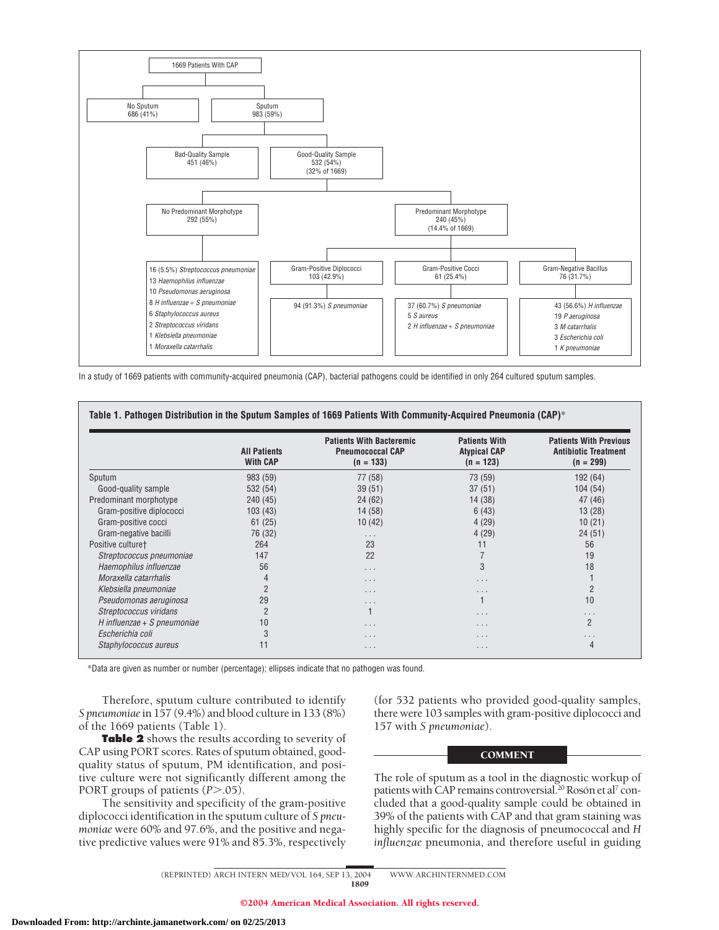

In a study of 1669 patients with community-acquired pneumonia (CAP), bacterial pathogens could be identified in only 264 cultured sputum samples.

|                               | <b>All Patients</b><br><b>With CAP</b> | <b>Patients With Bacteremic</b><br><b>Pneumococcal CAP</b><br>$(n = 133)$ | <b>Patients With</b><br><b>Atypical CAP</b><br>$(n = 123)$ | <b>Patients With Previous</b><br><b>Antibiotic Treatment</b><br>$(n = 299)$ |
|-------------------------------|----------------------------------------|---------------------------------------------------------------------------|------------------------------------------------------------|-----------------------------------------------------------------------------|
| Sputum                        | 983 (59)                               | 77 (58)                                                                   | 73 (59)                                                    | 192 (64)                                                                    |
| Good-quality sample           | 532 (54)                               | 39(51)                                                                    | 37(51)                                                     | 104(54)                                                                     |
| Predominant morphotype        | 240 (45)                               | 24(62)                                                                    | 14 (38)                                                    | 47 (46)                                                                     |
| Gram-positive diplococci      | 103(43)                                | 14(58)                                                                    | 6(43)                                                      | 13(28)                                                                      |
| Gram-positive cocci           | 61(25)                                 | 10(42)                                                                    | 4(29)                                                      | 10(21)                                                                      |
| Gram-negative bacilli         | 76 (32)                                | $\cdots$                                                                  | 4(29)                                                      | 24(51)                                                                      |
| Positive culture <sup>+</sup> | 264                                    | 23                                                                        | 11                                                         | 56                                                                          |
| Streptococcus pneumoniae      | 147                                    | 22                                                                        |                                                            | 19                                                                          |
| Haemophilus influenzae        | 56                                     | $\cdots$                                                                  | 3                                                          | 18                                                                          |
| Moraxella catarrhalis         | 4                                      | $\cdots$                                                                  | .                                                          |                                                                             |
| Klebsiella pneumoniae         |                                        | $\cdots$                                                                  | .                                                          | $\overline{2}$                                                              |
| Pseudomonas aeruginosa        | 29                                     | $\cdots$                                                                  |                                                            | 10                                                                          |
| Streptococcus viridans        | $\overline{2}$                         |                                                                           | .                                                          | $\cdots$                                                                    |
| H influenzae + S pneumoniae   | 10                                     | $\cdots$                                                                  | .                                                          | $\overline{2}$                                                              |
| Escherichia coli              | 3                                      | $\cdot$ $\cdot$ $\cdot$                                                   | $\cdot$ $\cdot$ $\cdot$                                    | .                                                                           |
| Staphylococcus aureus         | 11                                     | $\cdots$                                                                  | $\cdot$ $\cdot$ $\cdot$                                    | 4                                                                           |

\*Data are given as number or number (percentage); ellipses indicate that no pathogen was found.

Therefore, sputum culture contributed to identify *S pneumoniae* in 157 (9.4%) and blood culture in 133 (8%) of the 1669 patients (Table 1).

**Table 2** shows the results according to severity of CAP using PORT scores. Rates of sputum obtained, goodquality status of sputum, PM identification, and positive culture were not significantly different among the PORT groups of patients (P > .05).

The sensitivity and specificity of the gram-positive diplococci identification in the sputum culture of *S pneumoniae* were 60% and 97.6%, and the positive and negative predictive values were 91% and 85.3%, respectively (for 532 patients who provided good-quality samples, there were 103 samples with gram-positive diplococci and 157 with *S pneumoniae*).

### COMMENT

The role of sputum as a tool in the diagnostic workup of patients with CAP remains controversial.<sup>20</sup> Rosón et al<sup>7</sup> concluded that a good-quality sample could be obtained in 39% of the patients with CAP and that gram staining was highly specific for the diagnosis of pneumococcal and *H influenzae* pneumonia, and therefore useful in guiding

(REPRINTED) ARCH INTERN MED/ VOL 164, SEP 13, 2004 WWW.ARCHINTERNMED.COM 1809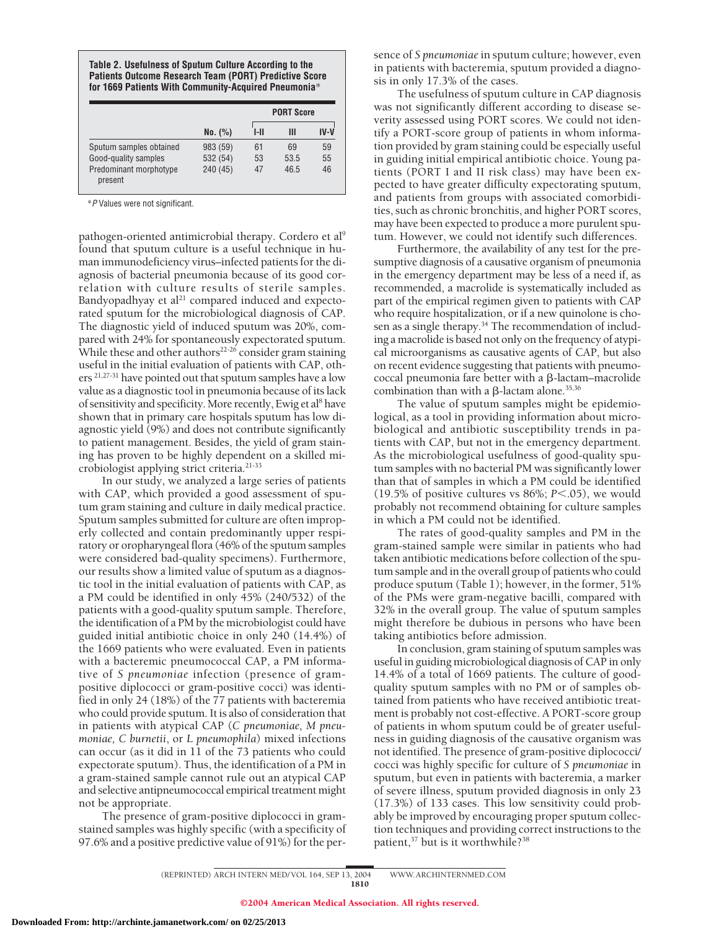| Table 2. Usefulness of Sputum Culture According to the        |
|---------------------------------------------------------------|
| <b>Patients Outcome Research Team (PORT) Predictive Score</b> |
| for 1669 Patients With Community-Acquired Pneumonia*          |

|                                   |          | <b>PORT Score</b> |      |        |
|-----------------------------------|----------|-------------------|------|--------|
|                                   | No. (%)  | I-II              | Ш    | $IV-V$ |
| Sputum samples obtained           | 983 (59) | 61                | 69   | 59     |
| Good-quality samples              | 532 (54) | 53                | 53.5 | 55     |
| Predominant morphotype<br>present | 240 (45) | 47                | 46.5 | 46     |

\**P* Values were not significant.

pathogen-oriented antimicrobial therapy. Cordero et al<sup>9</sup> found that sputum culture is a useful technique in human immunodeficiency virus–infected patients for the diagnosis of bacterial pneumonia because of its good correlation with culture results of sterile samples. Bandyopadhyay et al $21$  compared induced and expectorated sputum for the microbiological diagnosis of CAP. The diagnostic yield of induced sputum was 20%, compared with 24% for spontaneously expectorated sputum. While these and other authors<sup>22-26</sup> consider gram staining useful in the initial evaluation of patients with CAP, others 21,27-31 have pointed out that sputum samples have a low value as a diagnostic tool in pneumonia because of its lack of sensitivity and specificity. More recently, Ewig et al<sup>8</sup> have shown that in primary care hospitals sputum has low diagnostic yield (9%) and does not contribute significantly to patient management. Besides, the yield of gram staining has proven to be highly dependent on a skilled microbiologist applying strict criteria.<sup>21-33</sup>

In our study, we analyzed a large series of patients with CAP, which provided a good assessment of sputum gram staining and culture in daily medical practice. Sputum samples submitted for culture are often improperly collected and contain predominantly upper respiratory or oropharyngeal flora (46% of the sputum samples were considered bad-quality specimens). Furthermore, our results show a limited value of sputum as a diagnostic tool in the initial evaluation of patients with CAP, as a PM could be identified in only 45% (240/532) of the patients with a good-quality sputum sample. Therefore, the identification of a PM by the microbiologist could have guided initial antibiotic choice in only 240 (14.4%) of the 1669 patients who were evaluated. Even in patients with a bacteremic pneumococcal CAP, a PM informative of *S pneumoniae* infection (presence of grampositive diplococci or gram-positive cocci) was identified in only 24 (18%) of the 77 patients with bacteremia who could provide sputum. It is also of consideration that in patients with atypical CAP (*C pneumoniae, M pneumoniae, C burnetii*, or *L pneumophila*) mixed infections can occur (as it did in 11 of the 73 patients who could expectorate sputum). Thus, the identification of a PM in a gram-stained sample cannot rule out an atypical CAP and selective antipneumococcal empirical treatment might not be appropriate.

The presence of gram-positive diplococci in gramstained samples was highly specific (with a specificity of 97.6% and a positive predictive value of 91%) for the persence of *S pneumoniae* in sputum culture; however, even in patients with bacteremia, sputum provided a diagnosis in only 17.3% of the cases.

The usefulness of sputum culture in CAP diagnosis was not significantly different according to disease severity assessed using PORT scores. We could not identify a PORT-score group of patients in whom information provided by gram staining could be especially useful in guiding initial empirical antibiotic choice. Young patients (PORT I and II risk class) may have been expected to have greater difficulty expectorating sputum, and patients from groups with associated comorbidities, such as chronic bronchitis, and higher PORT scores, may have been expected to produce a more purulent sputum. However, we could not identify such differences.

Furthermore, the availability of any test for the presumptive diagnosis of a causative organism of pneumonia in the emergency department may be less of a need if, as recommended, a macrolide is systematically included as part of the empirical regimen given to patients with CAP who require hospitalization, or if a new quinolone is chosen as a single therapy.<sup>34</sup> The recommendation of including a macrolide is based not only on the frequency of atypical microorganisms as causative agents of CAP, but also on recent evidence suggesting that patients with pneumococcal pneumonia fare better with a  $\beta$ -lactam–macrolide combination than with a  $\beta$ -lactam alone.<sup>35,36</sup>

The value of sputum samples might be epidemiological, as a tool in providing information about microbiological and antibiotic susceptibility trends in patients with CAP, but not in the emergency department. As the microbiological usefulness of good-quality sputum samples with no bacterial PM was significantly lower than that of samples in which a PM could be identified  $(19.5\% \text{ of positive cultures vs } 86\%; P<.05)$ , we would probably not recommend obtaining for culture samples in which a PM could not be identified.

The rates of good-quality samples and PM in the gram-stained sample were similar in patients who had taken antibiotic medications before collection of the sputum sample and in the overall group of patients who could produce sputum (Table 1); however, in the former, 51% of the PMs were gram-negative bacilli, compared with 32% in the overall group. The value of sputum samples might therefore be dubious in persons who have been taking antibiotics before admission.

In conclusion, gram staining of sputum samples was useful in guiding microbiological diagnosis of CAP in only 14.4% of a total of 1669 patients. The culture of goodquality sputum samples with no PM or of samples obtained from patients who have received antibiotic treatment is probably not cost-effective. A PORT-score group of patients in whom sputum could be of greater usefulness in guiding diagnosis of the causative organism was not identified. The presence of gram-positive diplococci/ cocci was highly specific for culture of *S pneumoniae* in sputum, but even in patients with bacteremia, a marker of severe illness, sputum provided diagnosis in only 23 (17.3%) of 133 cases. This low sensitivity could probably be improved by encouraging proper sputum collection techniques and providing correct instructions to the patient,<sup>37</sup> but is it worthwhile?<sup>38</sup>

(REPRINTED) ARCH INTERN MED/ VOL 164, SEP 13, 2004 WWW.ARCHINTERNMED.COM 1810